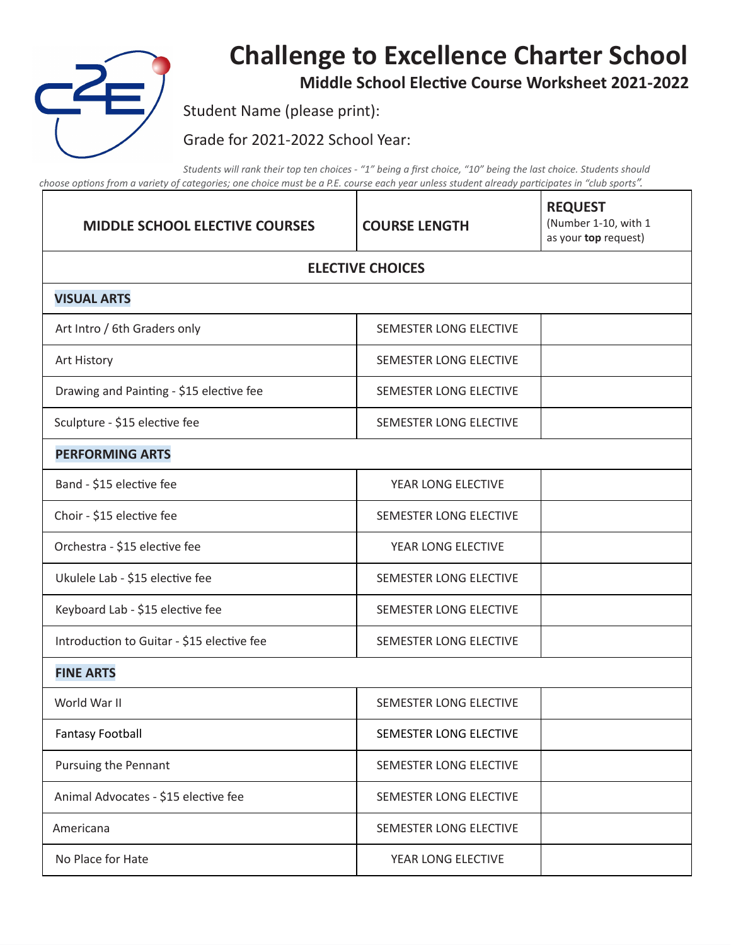

## **Challenge to Excellence Charter School**

**Middle School Elective Course Worksheet 2021-2022** 

 $\overline{\phantom{a}}$ 

Student Name (please print):

Grade for 2021-2022 School Year:

Students will rank their top ten choices - "1" being a first choice, "10" being the last choice. Students should choose options from a variety of categories; one choice must be a P.E. course each year unless student already participates in "club sports".

| <b>MIDDLE SCHOOL ELECTIVE COURSES</b>      | <b>COURSE LENGTH</b>   | <b>REQUEST</b><br>(Number 1-10, with 1<br>as your top request) |  |
|--------------------------------------------|------------------------|----------------------------------------------------------------|--|
| <b>ELECTIVE CHOICES</b>                    |                        |                                                                |  |
| <b>VISUAL ARTS</b>                         |                        |                                                                |  |
| Art Intro / 6th Graders only               | SEMESTER LONG ELECTIVE |                                                                |  |
| Art History                                | SEMESTER LONG ELECTIVE |                                                                |  |
| Drawing and Painting - \$15 elective fee   | SEMESTER LONG ELECTIVE |                                                                |  |
| Sculpture - \$15 elective fee              | SEMESTER LONG ELECTIVE |                                                                |  |
| <b>PERFORMING ARTS</b>                     |                        |                                                                |  |
| Band - \$15 elective fee                   | YEAR LONG ELECTIVE     |                                                                |  |
| Choir - \$15 elective fee                  | SEMESTER LONG ELECTIVE |                                                                |  |
| Orchestra - \$15 elective fee              | YEAR LONG ELECTIVE     |                                                                |  |
| Ukulele Lab - \$15 elective fee            | SEMESTER LONG ELECTIVE |                                                                |  |
| Keyboard Lab - \$15 elective fee           | SEMESTER LONG ELECTIVE |                                                                |  |
| Introduction to Guitar - \$15 elective fee | SEMESTER LONG ELECTIVE |                                                                |  |
| <b>FINE ARTS</b>                           |                        |                                                                |  |
| World War II                               | SEMESTER LONG ELECTIVE |                                                                |  |
| <b>Fantasy Football</b>                    | SEMESTER LONG ELECTIVE |                                                                |  |
| Pursuing the Pennant                       | SEMESTER LONG ELECTIVE |                                                                |  |
| Animal Advocates - \$15 elective fee       | SEMESTER LONG ELECTIVE |                                                                |  |
| Americana                                  | SEMESTER LONG ELECTIVE |                                                                |  |
| No Place for Hate                          | YEAR LONG ELECTIVE     |                                                                |  |